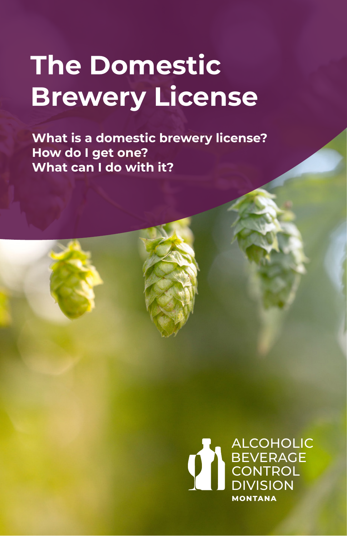# **The Domestic Brewery License**

**What is a domestic brewery license? How do I get one? What can I do with it?**

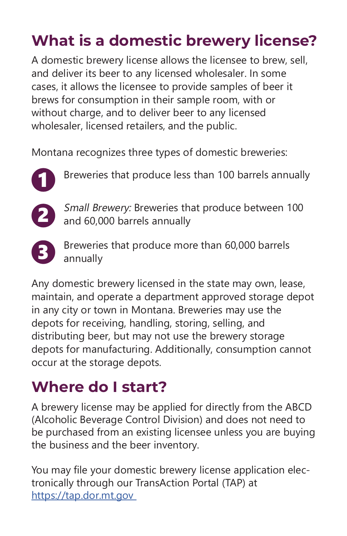## **What is a domestic brewery license?**

A domestic brewery license allows the licensee to brew, sell, and deliver its beer to any licensed wholesaler. In some cases, it allows the licensee to provide samples of beer it brews for consumption in their sample room, with or without charge, and to deliver beer to any licensed wholesaler, licensed retailers, and the public.

Montana recognizes three types of domestic breweries:



Breweries that produce less than 100 barrels annually



Small Brewery: Breweries that produce between 100 and 60,000 barrels annually



Breweries that produce more than 60,000 barrels annually

Any domestic brewery licensed in the state may own, lease, maintain, and operate a department approved storage depot in any city or town in Montana. Breweries may use the depots for receiving, handling, storing, selling, and distributing beer, but may not use the brewery storage depots for manufacturing. Additionally, consumption cannot occur at the storage depots.

### **Where do I start?**

A brewery license may be applied for directly from the ABCD (Alcoholic Beverage Control Division) and does not need to be purchased from an existing licensee unless you are buying the business and the beer inventory.

You may file your domestic brewery license application electronically through our TransAction Portal (TAP) at https://tap.dor.mt.gov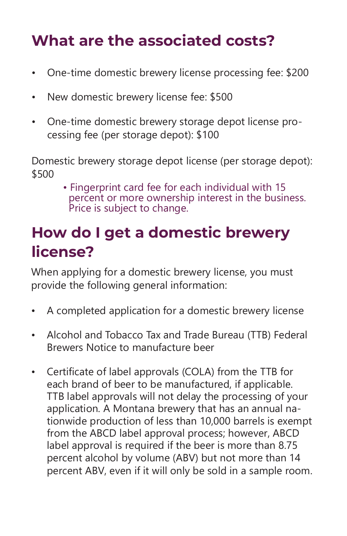### **What are the associated costs?**

- One-time domestic brewery license processing fee: \$200
- New domestic brewery license fee: \$500
- One-time domestic brewery storage depot license processing fee (per storage depot): \$100

Domestic brewery storage depot license (per storage depot): \$500

• Fingerprint card fee for each individual with 15 percent or more ownership interest in the business. Price is subject to change.

### **How do I get a domestic brewery license?**

When applying for a domestic brewery license, you must provide the following general information:

- A completed application for a domestic brewery license
- Alcohol and Tobacco Tax and Trade Bureau (TTB) Federal Brewers Notice to manufacture beer
- Certificate of label approvals (COLA) from the TTB for each brand of beer to be manufactured, if applicable. TTB label approvals will not delay the processing of your application. A Montana brewery that has an annual nationwide production of less than 10,000 barrels is exempt from the ABCD label approval process; however, ABCD label approval is required if the beer is more than 8.75 percent alcohol by volume (ABV) but not more than 14 percent ABV, even if it will only be sold in a sample room.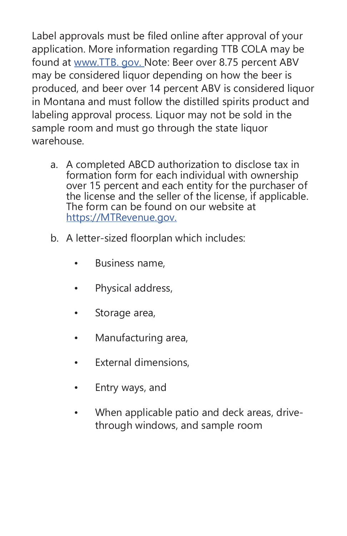Label approvals must be filed online after approval of your application. More information regarding TTB COLA may be found at www.TTB. gov. Note: Beer over 8.75 percent ABV may be considered liquor depending on how the beer is produced, and beer over 14 percent ABV is considered liquor in Montana and must follow the distilled spirits product and labeling approval process. Liquor may not be sold in the sample room and must go through the state liquor warehouse.

- a. A completed ABCD authorization to disclose tax in formation form for each individual with ownership over 15 percent and each entity for the purchaser of the license and the seller of the license, if applicable. The form can be found on our website at https://MTRevenue.gov.
- b. A letter-sized floorplan which includes:
	- Business name,
	- Physical address,
	- Storage area,
	- Manufacturing area,
	- External dimensions,
	- Entry ways, and
	- When applicable patio and deck areas, drivethrough windows, and sample room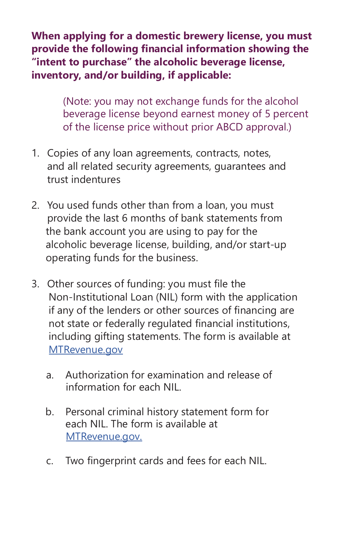**When applying for a domestic brewery license, you must provide the following financial information showing the "intent to purchase" the alcoholic beverage license, inventory, and/or building, if applicable:**

> (Note: you may not exchange funds for the alcohol beverage license beyond earnest money of 5 percent of the license price without prior ABCD approval.)

- 1. Copies of any loan agreements, contracts, notes, and all related security agreements, guarantees and trust indentures
- 2. You used funds other than from a loan, you must provide the last 6 months of bank statements from the bank account you are using to pay for the alcoholic beverage license, building, and/or start-up operating funds for the business.
- 3. Other sources of funding: you must file the Non-Institutional Loan (NIL) form with the application if any of the lenders or other sources of financing are not state or federally regulated financial institutions, including gifting statements. The form is available at MTRevenue.gov
	- a. Authorization for examination and release of information for each NIL.
	- b. Personal criminal history statement form for each NIL. The form is available at MTRevenue.gov.
	- c. Two fingerprint cards and fees for each NIL.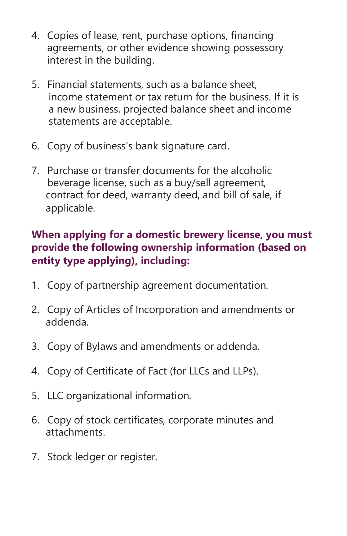- 4. Copies of lease, rent, purchase options, financing agreements, or other evidence showing possessory interest in the building.
- 5. Financial statements, such as a balance sheet, income statement or tax return for the business. If it is a new business, projected balance sheet and income statements are acceptable.
- 6. Copy of business's bank signature card.
- 7. Purchase or transfer documents for the alcoholic beverage license, such as a buy/sell agreement, contract for deed, warranty deed, and bill of sale, if applicable.

### **When applying for a domestic brewery license, you must provide the following ownership information (based on entity type applying), including:**

- 1. Copy of partnership agreement documentation.
- 2. Copy of Articles of Incorporation and amendments or addenda.
- 3. Copy of Bylaws and amendments or addenda.
- 4. Copy of Certificate of Fact (for LLCs and LLPs).
- 5. LLC organizational information.
- 6. Copy of stock certificates, corporate minutes and attachments.
- 7. Stock ledger or register.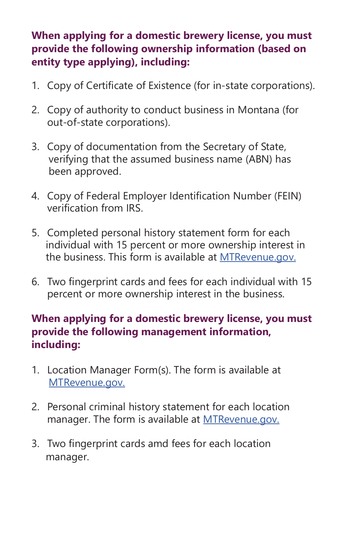#### **When applying for a domestic brewery license, you must provide the following ownership information (based on entity type applying), including:**

- 1. Copy of Certificate of Existence (for in-state corporations).
- 2. Copy of authority to conduct business in Montana (for out-of-state corporations).
- 3. Copy of documentation from the Secretary of State, verifying that the assumed business name (ABN) has been approved.
- 4. Copy of Federal Employer Identification Number (FEIN) verification from IRS.
- 5. Completed personal history statement form for each individual with 15 percent or more ownership interest in the business. This form is available at MTRevenue.gov.
- 6. Two fingerprint cards and fees for each individual with 15 percent or more ownership interest in the business.

#### **When applying for a domestic brewery license, you must provide the following management information, including:**

- 1. Location Manager Form(s). The form is available at MTRevenue.gov.
- 2. Personal criminal history statement for each location manager. The form is available at **MTRevenue.gov.**
- 3. Two fingerprint cards amd fees for each location manager.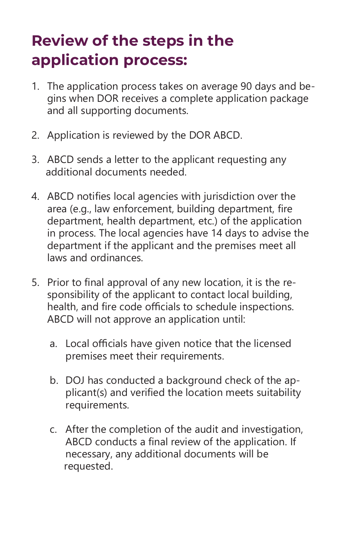### **Review of the steps in the application process:**

- 1. The application process takes on average 90 days and begins when DOR receives a complete application package and all supporting documents.
- 2. Application is reviewed by the DOR ABCD.
- 3. ABCD sends a letter to the applicant requesting any additional documents needed.
- 4. ABCD notifies local agencies with jurisdiction over the area (e.g., law enforcement, building department, fire department, health department, etc.) of the application in process. The local agencies have 14 days to advise the department if the applicant and the premises meet all laws and ordinances.
- 5. Prior to final approval of any new location, it is the responsibility of the applicant to contact local building, health, and fire code officials to schedule inspections. ABCD will not approve an application until:
	- a. Local officials have given notice that the licensed premises meet their requirements.
	- b. DOJ has conducted a background check of the applicant(s) and verified the location meets suitability requirements.
	- c. After the completion of the audit and investigation, ABCD conducts a final review of the application. If necessary, any additional documents will be requested.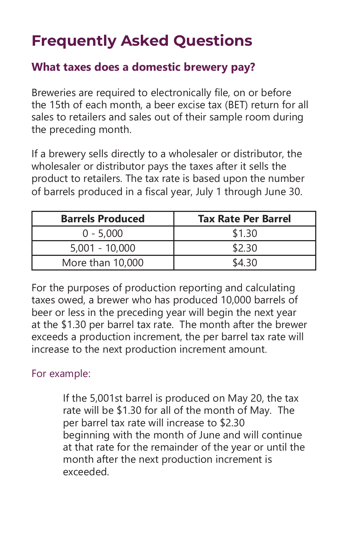### **Frequently Asked Questions**

### **What taxes does a domestic brewery pay?**

Breweries are required to electronically file, on or before the 15th of each month, a beer excise tax (BET) return for all sales to retailers and sales out of their sample room during the preceding month.

If a brewery sells directly to a wholesaler or distributor, the wholesaler or distributor pays the taxes after it sells the product to retailers. The tax rate is based upon the number of barrels produced in a fiscal year, July 1 through June 30.

| <b>Barrels Produced</b> | <b>Tax Rate Per Barrel</b> |
|-------------------------|----------------------------|
| $0 - 5,000$             | \$1.30                     |
| $5,001 - 10,000$        | \$2.30                     |
| More than 10,000        | ና4 30                      |

For the purposes of production reporting and calculating taxes owed, a brewer who has produced 10,000 barrels of beer or less in the preceding year will begin the next year at the \$1.30 per barrel tax rate. The month after the brewer exceeds a production increment, the per barrel tax rate will increase to the next production increment amount.

#### For example:

If the 5,001st barrel is produced on May 20, the tax rate will be \$1.30 for all of the month of May. The per barrel tax rate will increase to \$2.30 beginning with the month of June and will continue at that rate for the remainder of the year or until the month after the next production increment is exceeded.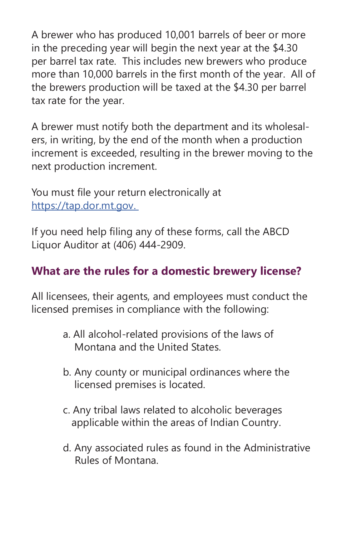A brewer who has produced 10,001 barrels of beer or more in the preceding year will begin the next year at the \$4.30 per barrel tax rate. This includes new brewers who produce more than 10,000 barrels in the first month of the year. All of the brewers production will be taxed at the \$4.30 per barrel tax rate for the year.

A brewer must notify both the department and its wholesalers, in writing, by the end of the month when a production increment is exceeded, resulting in the brewer moving to the next production increment.

You must file your return electronically at https://tap.dor.mt.gov.

If you need help filing any of these forms, call the ABCD Liquor Auditor at (406) 444-2909.

### **What are the rules for a domestic brewery license?**

All licensees, their agents, and employees must conduct the licensed premises in compliance with the following:

- a. All alcohol-related provisions of the laws of Montana and the United States.
- b. Any county or municipal ordinances where the licensed premises is located.
- c. Any tribal laws related to alcoholic beverages applicable within the areas of Indian Country.
- d. Any associated rules as found in the Administrative Rules of Montana.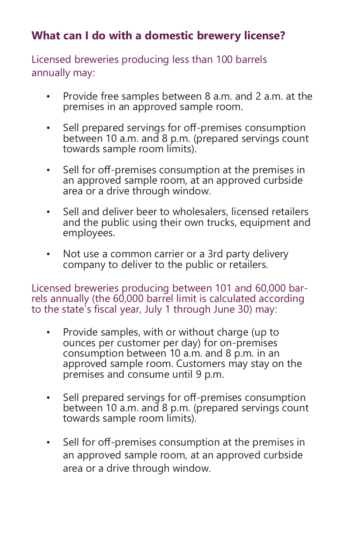### **What can I do with a domestic brewery license?**

Licensed breweries producing less than 100 barrels annually may:

- Provide free samples between 8 a.m. and 2 a.m. at the premises in an approved sample room.
- Sell prepared servings for off-premises consumption between 10 a.m. and 8 p.m. (prepared servings count towards sample room limits).
- Sell for off-premises consumption at the premises in an approved sample room, at an approved curbside area or a drive through window.
- Sell and deliver beer to wholesalers, licensed retailers and the public using their own trucks, equipment and employees.
- Not use a common carrier or a 3rd party delivery company to deliver to the public or retailers.

Licensed breweries producing between 101 and 60,000 barrels annually (the 60,000 barrel limit is calculated according to the state's fiscal year, July 1 through June 30) may:

- Provide samples, with or without charge (up to ounces per customer per day) for on-premises consumption between 10 a.m. and 8 p.m. in an approved sample room. Customers may stay on the premises and consume until 9 p.m.
- Sell prepared servings for off-premises consumption between 10 a.m. and 8 p.m. (prepared servings count towards sample room limits).
- Sell for off-premises consumption at the premises in an approved sample room, at an approved curbside area or a drive through window.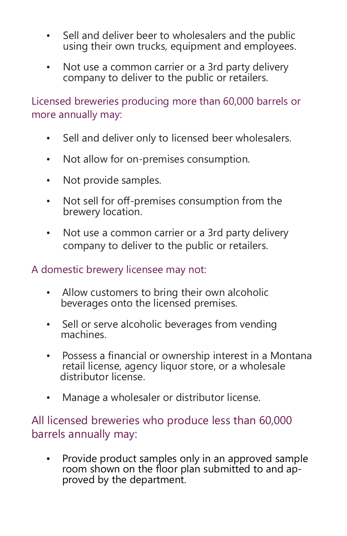- Sell and deliver beer to wholesalers and the public using their own trucks, equipment and employees.
- Not use a common carrier or a 3rd party delivery company to deliver to the public or retailers.

Licensed breweries producing more than 60,000 barrels or more annually may:

- Sell and deliver only to licensed beer wholesalers.
- Not allow for on-premises consumption.
- Not provide samples.
- Not sell for off-premises consumption from the brewery location.
- Not use a common carrier or a 3rd party delivery company to deliver to the public or retailers.

#### A domestic brewery licensee may not:

- Allow customers to bring their own alcoholic beverages onto the licensed premises.
- Sell or serve alcoholic beverages from vending machines.
- Possess a financial or ownership interest in a Montana retail license, agency liquor store, or a wholesale distributor license.
- Manage a wholesaler or distributor license.

### All licensed breweries who produce less than 60,000 barrels annually may:

• Provide product samples only in an approved sample room shown on the floor plan submitted to and ap-<br>proved by the department.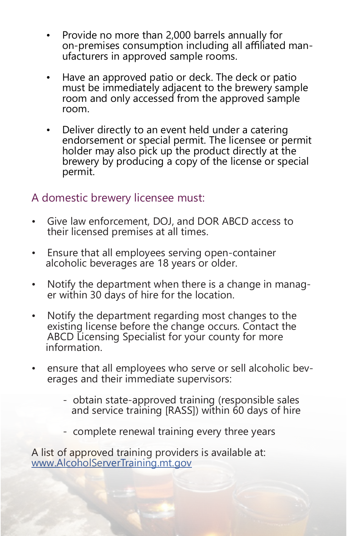- Provide no more than 2,000 barrels annually for on-premises consumption including all affiliated manufacturers in approved sample rooms.
- Have an approved patio or deck. The deck or patio must be immediately adjacent to the brewery sample room and only accessed from the approved sample room.
- Deliver directly to an event held under a catering endorsement or special permit. The licensee or permit holder may also pick up the product directly at the brewery by producing a copy of the license or special permit.

### A domestic brewery licensee must:

- Give law enforcement, DOJ, and DOR ABCD access to their licensed premises at all times.
- Ensure that all employees serving open-container alcoholic beverages are 18 years or older.
- Notify the department when there is a change in manager within 30 days of hire for the location.
- Notify the department regarding most changes to the existing license before the change occurs. Contact the ABCD Licensing Specialist for your county for more information.
- ensure that all employees who serve or sell alcoholic beverages and their immediate supervisors:
	- obtain state-approved training (responsible sales and service training [RASS]) within 60 days of hire
	- complete renewal training every three years

A list of approved training providers is available at: www.AlcoholServerTraining.mt.gov